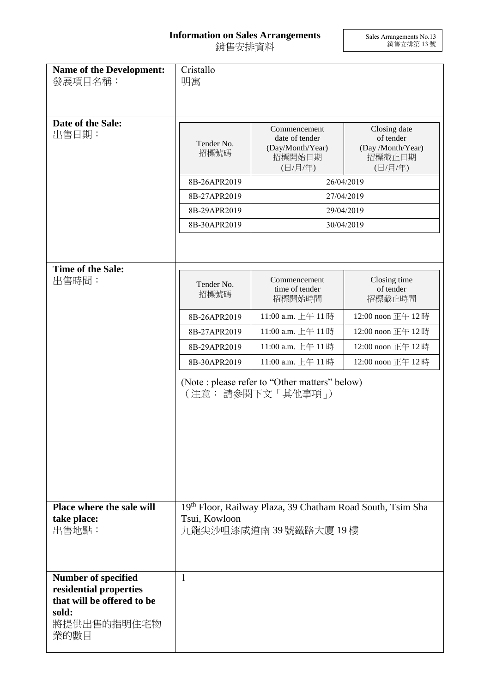## **Information on Sales Arrangements** 銷售安排資料

Sales Arrangements No.13 銷售安排第 13 號

| <b>Name of the Development:</b><br>發展項目名稱:                                                                         | Cristallo<br>明寓                                                                                      |                                                                         |                                                                                                                             |
|--------------------------------------------------------------------------------------------------------------------|------------------------------------------------------------------------------------------------------|-------------------------------------------------------------------------|-----------------------------------------------------------------------------------------------------------------------------|
| Date of the Sale:<br>出售日期:                                                                                         | Tender No.<br>招標號碼<br>8B-26APR2019<br>8B-27APR2019<br>8B-29APR2019<br>8B-30APR2019                   | Commencement<br>date of tender<br>(Day/Month/Year)<br>招標開始日期<br>(日/月/年) | Closing date<br>of tender<br>(Day /Month/Year)<br>招標截止日期<br>(日/月/年)<br>26/04/2019<br>27/04/2019<br>29/04/2019<br>30/04/2019 |
| Time of the Sale:<br>出售時間:                                                                                         | Tender No.<br>招標號碼                                                                                   | Commencement<br>time of tender<br>招標開始時間                                | Closing time<br>of tender<br>招標截止時間                                                                                         |
|                                                                                                                    | 8B-26APR2019                                                                                         | 11:00 a.m. 上午 11時                                                       | 12:00 noon 正午 12時                                                                                                           |
|                                                                                                                    | 8B-27APR2019                                                                                         | 11:00 a.m. 上午 11時                                                       | 12:00 noon 正午 12時                                                                                                           |
|                                                                                                                    | 8B-29APR2019                                                                                         | 11:00 a.m. 上午 11時                                                       | 12:00 noon 正午 12時                                                                                                           |
|                                                                                                                    | 8B-30APR2019                                                                                         | 11:00 a.m. 上午 11時                                                       | 12:00 noon 正午 12時                                                                                                           |
|                                                                                                                    |                                                                                                      | (Note : please refer to "Other matters" below)<br>(注意: 請參閱下文「其他事項」)     |                                                                                                                             |
| Place where the sale will<br>take place:<br>出售地點:                                                                  | 19th Floor, Railway Plaza, 39 Chatham Road South, Tsim Sha<br>Tsui, Kowloon<br>九龍尖沙咀漆咸道南 39號鐵路大廈 19樓 |                                                                         |                                                                                                                             |
| <b>Number of specified</b><br>residential properties<br>that will be offered to be<br>sold:<br>將提供出售的指明住宅物<br>業的數目 | $\mathbf{1}$                                                                                         |                                                                         |                                                                                                                             |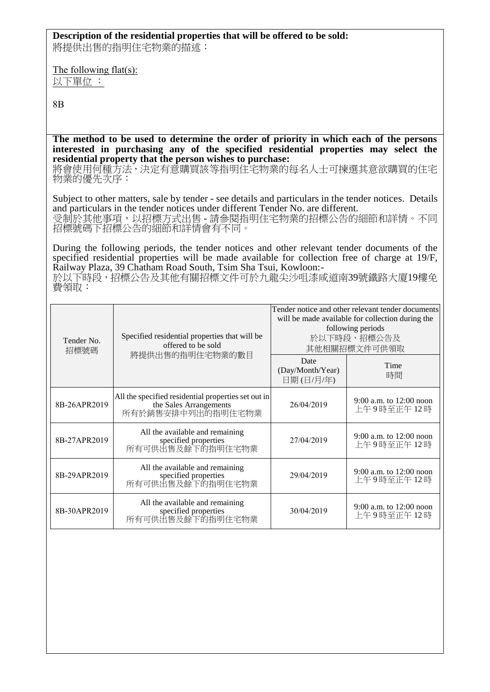## **Description of the residential properties that will be offered to be sold:**

將提供出售的指明住宅物業的描述:

The following flat(s): 以下單位 :

8B

**The method to be used to determine the order of priority in which each of the persons interested in purchasing any of the specified residential properties may select the residential property that the person wishes to purchase:** 

將會使用何種方法,決定有意購買該等指明住宅物業的每名人士可揀選其意欲購買的住宅 物業的優先次序:

Subject to other matters, sale by tender - see details and particulars in the tender notices. Details and particulars in the tender notices under different Tender No. are different. 受制於其他事項,以招標方式出售 - 請參閱指明住宅物業的招標公告的細節和詳情。不同 招標號碼下招標公告的細節和詳情會有不同。

During the following periods, the tender notices and other relevant tender documents of the specified residential properties will be made available for collection free of charge at 19/F. Railway Plaza, 39 Chatham Road South, Tsim Sha Tsui, Kowloon:-

於以下時段,招標公告及其他有關招標文件可於九龍尖沙咀漆咸道南39號鐵路大廈19樓免 費領取:

| Tender No.<br>招標號碼 | Specified residential properties that will be<br>offered to be sold                                | Tender notice and other relevant tender documents<br>will be made available for collection during the<br>following periods<br>於以下時段,招標公告及<br>其他相關招標文件可供領取 |                                         |
|--------------------|----------------------------------------------------------------------------------------------------|-----------------------------------------------------------------------------------------------------------------------------------------------------------|-----------------------------------------|
|                    | 將提供出售的指明住宅物業的數目                                                                                    | Date<br>(Day/Month/Year)<br>日期(日/月/年)                                                                                                                     | Time<br>時間                              |
| 8B-26APR2019       | All the specified residential properties set out in<br>the Sales Arrangements<br>所有於銷售安排中列出的指明住宅物業 | 26/04/2019                                                                                                                                                | 9:00 a.m. to 12:00 noon<br>上午9時至正午12時   |
| 8B-27APR2019       | All the available and remaining<br>specified properties<br>所有可供出售及餘下的指明住宅物業                        | 27/04/2019                                                                                                                                                | 9:00 a.m. to 12:00 noon<br>上午9時至正午12時   |
| 8B-29APR2019       | All the available and remaining<br>specified properties<br>所有可供出售及餘下的指明住宅物業                        | 29/04/2019                                                                                                                                                | 9:00 a.m. to $12:00$ noon<br>上午9時至正午12時 |
| 8B-30APR2019       | All the available and remaining<br>specified properties<br>所有可供出售及餘下的指明住宅物業                        | 30/04/2019                                                                                                                                                | 9:00 a.m. to 12:00 noon<br>上午9時至正午12時   |